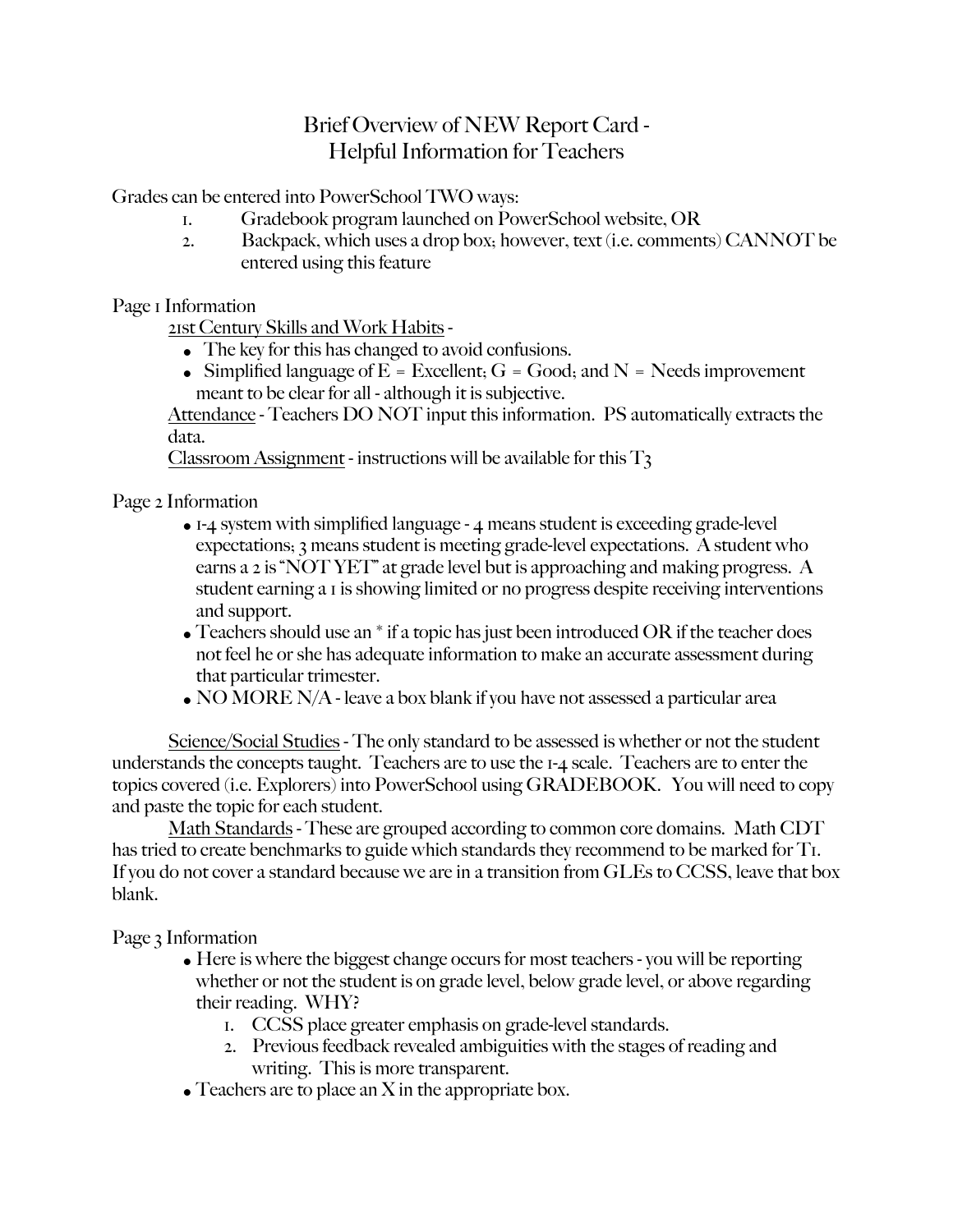## Brief Overview of NEW Report Card - Helpful Information for Teachers

Grades can be entered into PowerSchool TWO ways:

- 1. Gradebook program launched on PowerSchool website, OR
- 2. Backpack, which uses a drop box; however, text (i.e. comments) CANNOT be entered using this feature

Page I Information

21st Century Skills and Work Habits -

- The key for this has changed to avoid confusions.
- Simplified language of  $E = Excellent$ ;  $G = Good$ ; and  $N = Needs$  improvement meant to be clear for all - although it is subjective.

Attendance - Teachers DO NOT input this information. PS automatically extracts the data.

Classroom Assignment - instructions will be available for this  $T_3$ 

Page 2 Information

- $\bullet$  I-4 system with simplified language 4 means student is exceeding grade-level expectations; 3 means student is meeting grade-level expectations. A student who earns a 2 is "NOT YET" at grade level but is approaching and making progress. A student earning a 1 is showing limited or no progress despite receiving interventions and support.
- Teachers should use an  $*$  if a topic has just been introduced OR if the teacher does not feel he or she has adequate information to make an accurate assessment during that particular trimester.
- NO MORE N/A leave a box blank if you have not assessed a particular area

Science/Social Studies - The only standard to be assessed is whether or not the student understands the concepts taught. Teachers are to use the 1-4 scale. Teachers are to enter the topics covered (i.e. Explorers) into PowerSchool using GRADEBOOK. You will need to copy and paste the topic for each student.

Math Standards - These are grouped according to common core domains. Math CDT has tried to create benchmarks to guide which standards they recommend to be marked for T<sub>1</sub>. If you do not cover a standard because we are in a transition from GLEs to CCSS, leave that box blank.

Page 3 Information

- Here is where the biggest change occurs for most teachers you will be reporting whether or not the student is on grade level, below grade level, or above regarding their reading. WHY?
	- 1. CCSS place greater emphasis on grade-level standards.
	- 2. Previous feedback revealed ambiguities with the stages of reading and writing. This is more transparent.
- Teachers are to place an  $X$  in the appropriate box.